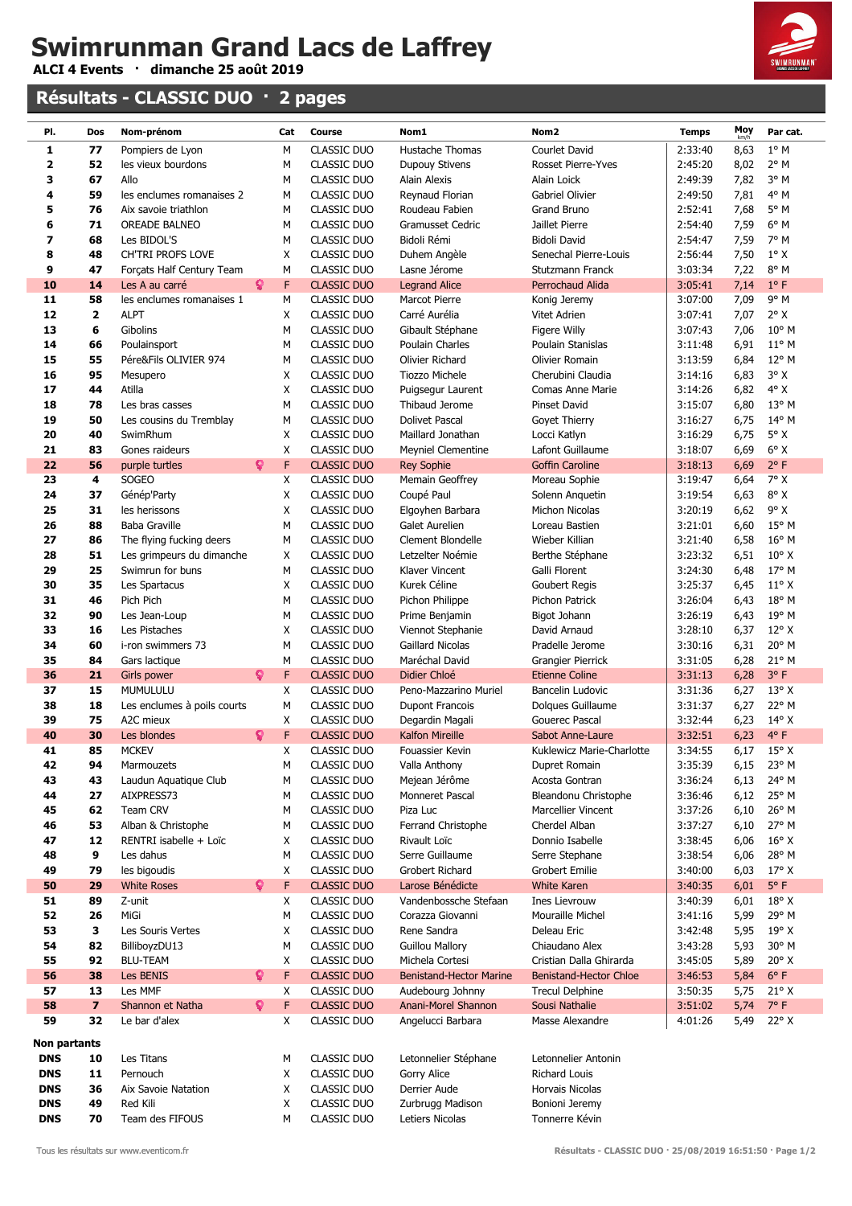**ALCI 4 Events · dimanche 25 août 2019**

#### **Résultats - CLASSIC DUO · 2 pages**



| PI.                      | Dos                     | Nom-prénom                          |    | Cat          | Course                            | Nom1                                              | Nom <sub>2</sub>                                  | <b>Temps</b>       | Moy          | Par cat.                        |
|--------------------------|-------------------------|-------------------------------------|----|--------------|-----------------------------------|---------------------------------------------------|---------------------------------------------------|--------------------|--------------|---------------------------------|
| 1                        | 77                      | Pompiers de Lyon                    |    | M            | <b>CLASSIC DUO</b>                | Hustache Thomas                                   | Courlet David                                     | 2:33:40            | 8,63         | $1^{\circ}$ M                   |
| $\overline{\mathbf{2}}$  | 52                      | les vieux bourdons                  |    | М            | CLASSIC DUO                       | Dupouy Stivens                                    | Rosset Pierre-Yves                                | 2:45:20            | 8,02         | $2^{\circ}$ M                   |
| 3<br>4                   | 67<br>59                | Allo<br>les enclumes romanaises 2   |    | М<br>М       | <b>CLASSIC DUO</b><br>CLASSIC DUO | <b>Alain Alexis</b><br>Reynaud Florian            | Alain Loick<br>Gabriel Olivier                    | 2:49:39<br>2:49:50 | 7,82<br>7,81 | 3° M<br>$4^{\circ}$ M           |
| 5                        | 76                      | Aix savoie triathlon                |    | М            | <b>CLASSIC DUO</b>                | Roudeau Fabien                                    | Grand Bruno                                       | 2:52:41            | 7,68         | $5^{\circ}$ M                   |
| 6                        | 71                      | <b>OREADE BALNEO</b>                |    | М            | CLASSIC DUO                       | <b>Gramusset Cedric</b>                           | Jaillet Pierre                                    | 2:54:40            | 7,59         | $6^{\circ}$ M                   |
| 7                        | 68                      | Les BIDOL'S                         |    | М            | <b>CLASSIC DUO</b>                | Bidoli Rémi                                       | <b>Bidoli David</b>                               | 2:54:47            | 7,59         | 7° M                            |
| 8                        | 48                      | <b>CH'TRI PROFS LOVE</b>            |    | X            | CLASSIC DUO                       | Duhem Angèle                                      | Senechal Pierre-Louis                             | 2:56:44            | 7,50         | $1^\circ$ X                     |
| 9                        | 47                      | Forçats Half Century Team           |    | М            | <b>CLASSIC DUO</b>                | Lasne Jérome                                      | Stutzmann Franck                                  | 3:03:34            | 7,22         | 8° M                            |
| 10                       | 14                      | Les A au carré                      | Q. | F            | <b>CLASSIC DUO</b>                | <b>Legrand Alice</b>                              | Perrochaud Alida                                  | 3:05:41            | 7,14         | $1^{\circ}$ F                   |
| 11                       | 58                      | les enclumes romanaises 1           |    | М            | <b>CLASSIC DUO</b>                | <b>Marcot Pierre</b>                              | Konig Jeremy                                      | 3:07:00            | 7,09         | $9^{\circ}$ M                   |
| 12                       | 2                       | <b>ALPT</b>                         |    | X            | <b>CLASSIC DUO</b>                | Carré Aurélia                                     | Vitet Adrien                                      | 3:07:41            | 7,07         | $2^{\circ}$ X                   |
| 13                       | 6                       | Gibolins                            |    | М            | <b>CLASSIC DUO</b>                | Gibault Stéphane                                  | Figere Willy                                      | 3:07:43            | 7,06         | $10^{\circ}$ M                  |
| 14                       | 66                      | Poulainsport                        |    | М            | CLASSIC DUO                       | Poulain Charles                                   | Poulain Stanislas                                 | 3:11:48            | 6,91         | $11^{\circ}$ M                  |
| 15                       | 55                      | Pére&Fils OLIVIER 974               |    | М            | <b>CLASSIC DUO</b>                | Olivier Richard                                   | Olivier Romain                                    | 3:13:59            | 6,84         | $12^{\circ}$ M                  |
| 16                       | 95                      | Mesupero                            |    | X            | CLASSIC DUO<br><b>CLASSIC DUO</b> | Tiozzo Michele                                    | Cherubini Claudia                                 | 3:14:16            | 6,83         | $3^{\circ}$ X<br>$4^{\circ}$ X  |
| 17<br>18                 | 44<br>78                | Atilla<br>Les bras casses           |    | X<br>М       | CLASSIC DUO                       | Puigsegur Laurent<br>Thibaud Jerome               | Comas Anne Marie<br>Pinset David                  | 3:14:26<br>3:15:07 | 6,82<br>6,80 | $13^{\circ}$ M                  |
| 19                       | 50                      | Les cousins du Tremblay             |    | М            | <b>CLASSIC DUO</b>                | <b>Dolivet Pascal</b>                             | Goyet Thierry                                     | 3:16:27            | 6,75         | $14^{\circ}$ M                  |
| 20                       | 40                      | SwimRhum                            |    | X            | CLASSIC DUO                       | Maillard Jonathan                                 | Locci Katlyn                                      | 3:16:29            | 6,75         | $5^\circ$ X                     |
| 21                       | 83                      | Gones raideurs                      |    | X            | <b>CLASSIC DUO</b>                | <b>Meyniel Clementine</b>                         | Lafont Guillaume                                  | 3:18:07            | 6,69         | $6^{\circ}$ X                   |
| 22                       | 56                      | purple turtles                      | Q. | F            | <b>CLASSIC DUO</b>                | <b>Rey Sophie</b>                                 | <b>Goffin Caroline</b>                            | 3:18:13            | 6,69         | $2^{\circ}$ F                   |
| 23                       | 4                       | SOGEO                               |    | X            | <b>CLASSIC DUO</b>                | Memain Geoffrey                                   | Moreau Sophie                                     | 3:19:47            | 6,64         | 7° X                            |
| 24                       | 37                      | Génép'Party                         |    | X            | <b>CLASSIC DUO</b>                | Coupé Paul                                        | Solenn Anquetin                                   | 3:19:54            | 6,63         | $8^{\circ}$ X                   |
| 25                       | 31                      | les herissons                       |    | X            | CLASSIC DUO                       | Elgoyhen Barbara                                  | Michon Nicolas                                    | 3:20:19            | 6,62         | $9^{\circ}$ X                   |
| 26                       | 88                      | <b>Baba Graville</b>                |    | М            | CLASSIC DUO                       | Galet Aurelien                                    | Loreau Bastien                                    | 3:21:01            | 6,60         | 15° M                           |
| 27                       | 86                      | The flying fucking deers            |    | М            | <b>CLASSIC DUO</b>                | Clement Blondelle                                 | Wieber Killian                                    | 3:21:40            | 6,58         | $16^{\circ}$ M                  |
| 28                       | 51                      | Les grimpeurs du dimanche           |    | X            | <b>CLASSIC DUO</b>                | Letzelter Noémie                                  | Berthe Stéphane                                   | 3:23:32            | 6,51         | $10^{\circ}$ X                  |
| 29                       | 25                      | Swimrun for buns                    |    | М            | <b>CLASSIC DUO</b>                | Klaver Vincent                                    | Galli Florent                                     | 3:24:30            | 6,48         | 17° M                           |
| 30<br>31                 | 35<br>46                | Les Spartacus<br>Pich Pich          |    | X<br>М       | CLASSIC DUO<br><b>CLASSIC DUO</b> | Kurek Céline                                      | Goubert Regis<br>Pichon Patrick                   | 3:25:37<br>3:26:04 | 6,45         | $11^{\circ}$ X<br>18° M         |
| 32                       | 90                      | Les Jean-Loup                       |    | М            | <b>CLASSIC DUO</b>                | Pichon Philippe<br>Prime Benjamin                 | Bigot Johann                                      | 3:26:19            | 6,43<br>6,43 | 19° M                           |
| 33                       | 16                      | Les Pistaches                       |    | X            | <b>CLASSIC DUO</b>                | Viennot Stephanie                                 | David Arnaud                                      | 3:28:10            | 6,37         | $12^{\circ}$ X                  |
| 34                       | 60                      | i-ron swimmers 73                   |    | М            | <b>CLASSIC DUO</b>                | Gaillard Nicolas                                  | Pradelle Jerome                                   | 3:30:16            | 6,31         | 20° M                           |
| 35                       | 84                      | Gars lactique                       |    | M            | <b>CLASSIC DUO</b>                | Maréchal David                                    | Grangier Pierrick                                 | 3:31:05            | 6,28         | $21^{\circ}$ M                  |
| 36                       | 21                      | Girls power                         | Q  | F            | <b>CLASSIC DUO</b>                | Didier Chloé                                      | <b>Etienne Coline</b>                             | 3:31:13            | 6,28         | 3° F                            |
| 37                       | 15                      | MUMULULU                            |    | X            | CLASSIC DUO                       | Peno-Mazzarino Muriel                             | Bancelin Ludovic                                  | 3:31:36            | 6,27         | $13^{\circ}$ X                  |
| 38                       | 18                      | Les enclumes à poils courts         |    | М            | <b>CLASSIC DUO</b>                | <b>Dupont Francois</b>                            | Dolques Guillaume                                 | 3:31:37            | 6,27         | 22° M                           |
| 39                       | 75                      | A2C mieux                           |    | X            | <b>CLASSIC DUO</b>                | Degardin Magali                                   | <b>Gouerec Pascal</b>                             | 3:32:44            | 6,23         | $14^{\circ}$ X                  |
| 40                       | 30                      | Les blondes                         | ្  | F            | <b>CLASSIC DUO</b>                | <b>Kalfon Mireille</b>                            | Sabot Anne-Laure                                  | 3:32:51            | 6,23         | $4^{\circ}$ F                   |
| 41                       | 85                      | <b>MCKEV</b>                        |    | $\mathsf{X}$ | CLASSIC DUO                       | Fouassier Kevin                                   | Kuklewicz Marie-Charlotte                         | 3:34:55            |              | 6,17 $15^{\circ}$ X             |
| 42                       | 94                      | Marmouzets                          |    | М            | CLASSIC DUO                       | Valla Anthony<br>Mejean Jérôme                    | Dupret Romain                                     | 3:35:39            | 6,15         | 23° M<br>24° M                  |
| 43<br>44                 | 43<br>27                | Laudun Aquatique Club<br>AIXPRESS73 |    | М<br>М       | CLASSIC DUO<br>CLASSIC DUO        | Monneret Pascal                                   | Acosta Gontran<br>Bleandonu Christophe            | 3:36:24<br>3:36:46 | 6,13<br>6,12 | 25° M                           |
| 45                       | 62                      | Team CRV                            |    | М            | CLASSIC DUO                       | Piza Luc                                          | Marcellier Vincent                                | 3:37:26            | 6,10         | 26° M                           |
| 46                       | 53                      | Alban & Christophe                  |    | М            | CLASSIC DUO                       | Ferrand Christophe                                | Cherdel Alban                                     | 3:37:27            | 6,10         | 27° M                           |
| 47                       | 12                      | RENTRI isabelle + Loïc              |    | Χ            | CLASSIC DUO                       | Rivault Loïc                                      | Donnio Isabelle                                   | 3:38:45            | 6,06         | $16^{\circ}$ X                  |
| 48                       | 9                       | Les dahus                           |    | М            | CLASSIC DUO                       | Serre Guillaume                                   | Serre Stephane                                    | 3:38:54            | 6,06         | 28° M                           |
| 49                       | 79                      | les bigoudis                        |    | X            | <b>CLASSIC DUO</b>                | Grobert Richard                                   | <b>Grobert Emilie</b>                             | 3:40:00            | 6,03         | $17^{\circ}$ X                  |
| 50                       | 29                      | <b>White Roses</b>                  | Q. | F            | <b>CLASSIC DUO</b>                | Larose Bénédicte                                  | <b>White Karen</b>                                | 3:40:35            | 6,01         | $5^{\circ}$ F                   |
| 51                       | 89                      | Z-unit                              |    | Х            | CLASSIC DUO                       | Vandenbossche Stefaan                             | <b>Ines Lievrouw</b>                              | 3:40:39            | 6,01         | $18^{\circ}$ X                  |
| 52                       | 26                      | MiGi                                |    | М            | <b>CLASSIC DUO</b>                | Corazza Giovanni                                  | Mouraille Michel                                  | 3:41:16            | 5,99         | 29° M                           |
| 53                       | 3                       | Les Souris Vertes                   |    | X            | CLASSIC DUO                       | Rene Sandra                                       | Deleau Eric                                       | 3:42:48            | 5,95         | $19^{\circ}$ X                  |
| 54                       | 82                      | BilliboyzDU13                       |    | М            | CLASSIC DUO                       | <b>Guillou Mallory</b>                            | Chiaudano Alex                                    | 3:43:28            | 5,93         | 30° M                           |
| 55<br>56                 | 92<br>38                | <b>BLU-TEAM</b><br>Les BENIS        | Q. | X<br>F       | CLASSIC DUO<br><b>CLASSIC DUO</b> | Michela Cortesi<br><b>Benistand-Hector Marine</b> | Cristian Dalla Ghirarda<br>Benistand-Hector Chloe | 3:45:05<br>3:46:53 | 5,89<br>5,84 | $20^{\circ}$ X<br>$6^{\circ}$ F |
| 57                       | 13                      | Les MMF                             |    | X            | CLASSIC DUO                       | Audebourg Johnny                                  | <b>Trecul Delphine</b>                            | 3:50:35            | 5,75         | $21^{\circ}$ X                  |
| 58                       | $\overline{\mathbf{z}}$ | Shannon et Natha                    | Q. | F            | <b>CLASSIC DUO</b>                | Anani-Morel Shannon                               | Sousi Nathalie                                    | 3:51:02            | 5,74         | $7^{\circ}$ F                   |
| 59                       | 32                      | Le bar d'alex                       |    | X            | CLASSIC DUO                       | Angelucci Barbara                                 | Masse Alexandre                                   | 4:01:26            | 5,49         | $22^{\circ}$ X                  |
|                          |                         |                                     |    |              |                                   |                                                   |                                                   |                    |              |                                 |
| Non partants             |                         |                                     |    |              |                                   |                                                   |                                                   |                    |              |                                 |
| <b>DNS</b><br><b>DNS</b> | 10<br>11                | Les Titans<br>Pernouch              |    | М<br>X       | CLASSIC DUO<br>CLASSIC DUO        | Letonnelier Stéphane<br>Gorry Alice               | Letonnelier Antonin<br>Richard Louis              |                    |              |                                 |
| <b>DNS</b>               | 36                      | Aix Savoie Natation                 |    | Χ            | CLASSIC DUO                       | Derrier Aude                                      | Horvais Nicolas                                   |                    |              |                                 |
| <b>DNS</b>               | 49                      | Red Kili                            |    | Х            | CLASSIC DUO                       | Zurbrugg Madison                                  | Bonioni Jeremy                                    |                    |              |                                 |
| <b>DNS</b>               | 70                      | Team des FIFOUS                     |    | М            | CLASSIC DUO                       | Letiers Nicolas                                   | Tonnerre Kévin                                    |                    |              |                                 |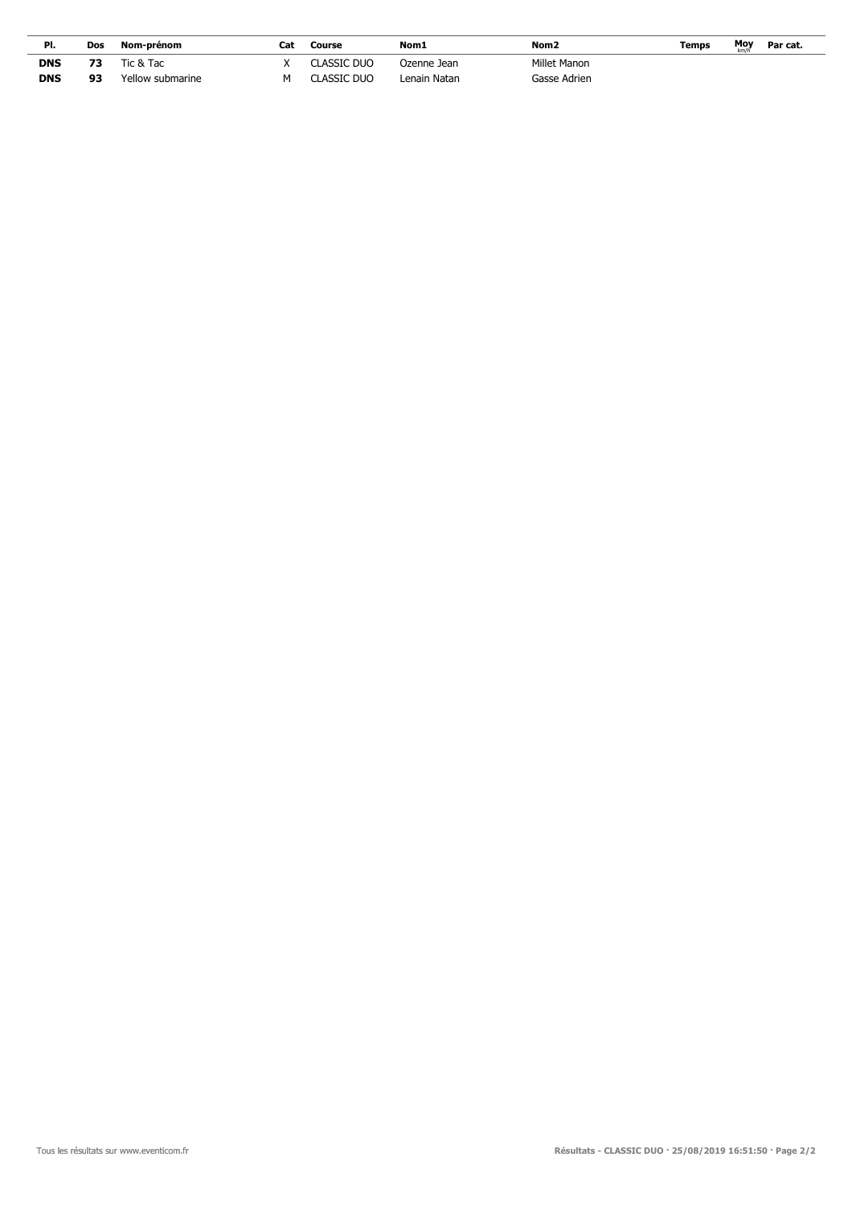| PI.        | Dos | Nom-prénom       | Cat | Course      | Nom1         | Nom <sub>2</sub> | Temps | <b>Moy</b> | Par cat. |
|------------|-----|------------------|-----|-------------|--------------|------------------|-------|------------|----------|
| <b>DNS</b> | 73  | Tic & Tac        |     | CLASSIC DUO | Ozenne Jean  | Millet Manon     |       |            |          |
| <b>DNS</b> | 93  | Yellow submarine |     | Classic Duo | Lenain Natan | Gasse Adrien     |       |            |          |

 $\overline{a}$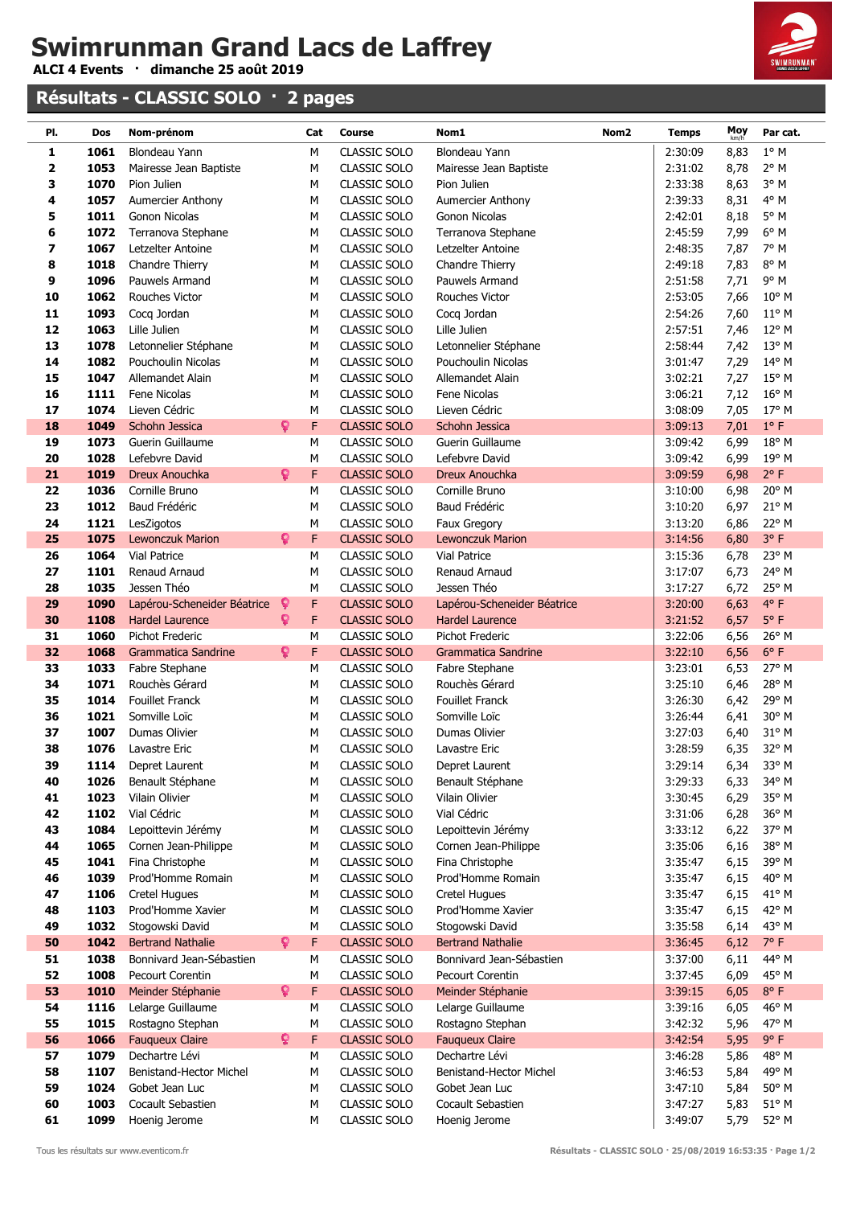**ALCI 4 Events · dimanche 25 août 2019**

### **Résultats - CLASSIC SOLO · 2 pages**



| PI.      | Dos          | Nom-prénom                           | Cat           | <b>Course</b>                | Nom1<br>Nom <sub>2</sub>             | <b>Temps</b>       | Moy          | Par cat.       |
|----------|--------------|--------------------------------------|---------------|------------------------------|--------------------------------------|--------------------|--------------|----------------|
| 1        | 1061         | Blondeau Yann                        | М             | CLASSIC SOLO                 | Blondeau Yann                        | 2:30:09            | 8,83         | $1^\circ$ M    |
| 2        | 1053         | Mairesse Jean Baptiste               | М             | CLASSIC SOLO                 | Mairesse Jean Baptiste               | 2:31:02            | 8,78         | $2^{\circ}$ M  |
| 3        | 1070         | Pion Julien                          | М             | CLASSIC SOLO                 | Pion Julien                          | 2:33:38            | 8,63         | 3° M           |
| 4        | 1057         | <b>Aumercier Anthony</b>             | М             | CLASSIC SOLO                 | <b>Aumercier Anthony</b>             | 2:39:33            | 8,31         | 4° M           |
| 5        | 1011         | Gonon Nicolas                        | М             | CLASSIC SOLO                 | Gonon Nicolas                        | 2:42:01            | 8,18         | 5° M           |
| 6        | 1072         | Terranova Stephane                   | м             | CLASSIC SOLO                 | Terranova Stephane                   | 2:45:59            | 7,99         | 6° M           |
| 7        | 1067         | Letzelter Antoine                    | М             | CLASSIC SOLO                 | Letzelter Antoine                    | 2:48:35            | 7,87         | 7° M           |
| 8        | 1018         | Chandre Thierry                      | М             | CLASSIC SOLO                 | Chandre Thierry                      | 2:49:18            | 7,83         | 8° M           |
| 9        | 1096         | Pauwels Armand                       | М             | CLASSIC SOLO                 | Pauwels Armand                       | 2:51:58            | 7,71         | 9° M           |
| 10       | 1062         | Rouches Victor                       | М             | CLASSIC SOLO                 | <b>Rouches Victor</b>                | 2:53:05            | 7,66         | $10^{\circ}$ M |
| 11       | 1093         | Cocq Jordan                          | М             | CLASSIC SOLO                 | Cocq Jordan                          | 2:54:26            | 7,60         | $11^{\circ}$ M |
| 12       | 1063         | Lille Julien                         | М             | CLASSIC SOLO                 | Lille Julien                         | 2:57:51            | 7,46         | 12° M          |
| 13       | 1078         | Letonnelier Stéphane                 | M             | CLASSIC SOLO                 | Letonnelier Stéphane                 | 2:58:44            | 7,42         | 13° M          |
| 14       | 1082         | Pouchoulin Nicolas                   | M             | CLASSIC SOLO                 | Pouchoulin Nicolas                   | 3:01:47            | 7,29         | 14° M          |
| 15       | 1047         | Allemandet Alain                     | М             | CLASSIC SOLO                 | Allemandet Alain                     | 3:02:21            | 7,27         | $15^{\circ}$ M |
| 16       | 1111         | Fene Nicolas                         | М             | CLASSIC SOLO                 | Fene Nicolas                         | 3:06:21            | 7,12         | $16^{\circ}$ M |
| 17       | 1074         | Lieven Cédric                        | М             | CLASSIC SOLO                 | Lieven Cédric                        | 3:08:09            | 7,05         | 17° M          |
| 18       | 1049         | Schohn Jessica                       | Ŷ<br>F        | <b>CLASSIC SOLO</b>          | Schohn Jessica                       | 3:09:13            | 7,01         | $1^{\circ}$ F  |
| 19       | 1073         | Guerin Guillaume                     | М             | CLASSIC SOLO                 | Guerin Guillaume                     | 3:09:42            | 6,99         | 18° M          |
| 20       | 1028         | Lefebvre David                       | M             | CLASSIC SOLO                 | Lefebvre David                       | 3:09:42            | 6,99         | 19° M          |
| 21       | 1019         | Dreux Anouchka                       | ò<br>F        | <b>CLASSIC SOLO</b>          | Dreux Anouchka                       | 3:09:59            | 6,98         | $2^{\circ}$ F  |
| 22       | 1036         | Cornille Bruno                       | М             | CLASSIC SOLO                 | Cornille Bruno                       | 3:10:00            | 6,98         | 20° M          |
| 23       | 1012         | Baud Frédéric                        | М             | CLASSIC SOLO                 | Baud Frédéric                        | 3:10:20            | 6,97         | 21° M          |
| 24       | 1121         | LesZigotos                           | M             | CLASSIC SOLO                 | Faux Gregory                         | 3:13:20            | 6,86         | 22° M          |
| 25       | 1075         | Lewonczuk Marion                     | ö<br>F        | <b>CLASSIC SOLO</b>          | <b>Lewonczuk Marion</b>              | 3:14:56            | 6,80         | $3^{\circ}$ F  |
| 26       | 1064         | Vial Patrice                         | М             | CLASSIC SOLO                 | <b>Vial Patrice</b>                  | 3:15:36            | 6,78         | 23° M          |
| 27       | 1101         | Renaud Arnaud                        | М             | CLASSIC SOLO                 | Renaud Arnaud                        | 3:17:07            | 6,73         | 24° M          |
| 28       | 1035         | Jessen Théo                          | M             | CLASSIC SOLO                 | Jessen Théo                          | 3:17:27            | 6,72         | 25° M          |
| 29       | 1090         | Lapérou-Scheneider Béatrice          | F<br><b>Q</b> | <b>CLASSIC SOLO</b>          | Lapérou-Scheneider Béatrice          | 3:20:00            | 6,63         | $4^{\circ}$ F  |
| 30       | 1108         | <b>Hardel Laurence</b>               | ò<br>F        | <b>CLASSIC SOLO</b>          | <b>Hardel Laurence</b>               | 3:21:52            | 6,57         | $5^{\circ}$ F  |
| 31       | 1060         | Pichot Frederic                      | M             | CLASSIC SOLO                 | Pichot Frederic                      | 3:22:06            | 6,56         | 26° M          |
| 32       | 1068         | Grammatica Sandrine                  | Ŷ<br>F        | <b>CLASSIC SOLO</b>          | Grammatica Sandrine                  | 3:22:10            | 6,56         | $6^{\circ}$ F  |
| 33       | 1033         | Fabre Stephane                       | M             | CLASSIC SOLO                 | Fabre Stephane                       | 3:23:01            | 6,53         | 27° M          |
| 34       | 1071         | Rouchès Gérard                       | М             | CLASSIC SOLO                 | Rouchès Gérard                       | 3:25:10            | 6,46         | 28° M          |
| 35       | 1014         | Fouillet Franck                      | М             | CLASSIC SOLO                 | <b>Fouillet Franck</b>               | 3:26:30            | 6,42         | 29° M          |
| 36       | 1021         | Somville Loïc                        | М             | CLASSIC SOLO                 | Somville Loïc                        | 3:26:44            | 6,41         | 30° M          |
| 37       | 1007         | Dumas Olivier                        | М             | CLASSIC SOLO                 | Dumas Olivier                        | 3:27:03            | 6,40         | 31° M          |
| 38       | 1076         | Lavastre Eric                        | М             | CLASSIC SOLO                 | Lavastre Eric                        | 3:28:59            | 6,35         | 32° M          |
| 39       | 1114         | Depret Laurent                       | М             | CLASSIC SOLO                 | Depret Laurent                       | 3:29:14            | 6,34         | 33° M          |
| 40       | 1026         | Benault Stéphane                     | М             | CLASSIC SOLO                 | Benault Stéphane                     | 3:29:33            | 6,33         | 34° M          |
| 41       | 1023         | Vilain Olivier                       | М             | CLASSIC SOLO                 | Vilain Olivier                       | 3:30:45            | 6,29         | 35° M          |
| 42       | 1102         | Vial Cédric                          | М             | CLASSIC SOLO                 | Vial Cédric                          | 3:31:06            | 6,28         | 36° M          |
| 43       | 1084         | Lepoittevin Jérémy                   | M             | <b>CLASSIC SOLO</b>          | Lepoittevin Jérémy                   | 3:33:12            | 6,22         | 37° M          |
| 44       | 1065         | Cornen Jean-Philippe                 | М             | CLASSIC SOLO                 | Cornen Jean-Philippe                 | 3:35:06            | 6,16         | 38° M          |
| 45       | 1041<br>1039 | Fina Christophe<br>Prod'Homme Romain | M             | CLASSIC SOLO                 | Fina Christophe<br>Prod'Homme Romain | 3:35:47            | 6,15         | 39° M          |
| 46<br>47 | 1106         | <b>Cretel Hugues</b>                 | M<br>M        | CLASSIC SOLO<br>CLASSIC SOLO | <b>Cretel Hugues</b>                 | 3:35:47<br>3:35:47 | 6,15<br>6,15 | 40° M<br>41° M |
| 48       | 1103         | Prod'Homme Xavier                    | M             | CLASSIC SOLO                 | Prod'Homme Xavier                    | 3:35:47            | 6,15         | 42° M          |
| 49       | 1032         | Stogowski David                      | М             | CLASSIC SOLO                 | Stogowski David                      | 3:35:58            | 6,14         | 43° M          |
| 50       | 1042         | <b>Bertrand Nathalie</b>             | <b>Q</b><br>F | <b>CLASSIC SOLO</b>          | <b>Bertrand Nathalie</b>             | 3:36:45            | 6,12         | $7^\circ$ F    |
| 51       | 1038         | Bonnivard Jean-Sébastien             | M             | CLASSIC SOLO                 | Bonnivard Jean-Sébastien             | 3:37:00            | 6,11         | 44° M          |
| 52       | 1008         | Pecourt Corentin                     | M             | CLASSIC SOLO                 | Pecourt Corentin                     | 3:37:45            | 6,09         | 45° M          |
| 53       | 1010         | Meinder Stéphanie                    | ò.<br>F       | CLASSIC SOLO                 | Meinder Stéphanie                    | 3:39:15            | 6,05         | $8^{\circ}$ F  |
| 54       | 1116         | Lelarge Guillaume                    | M             | CLASSIC SOLO                 | Lelarge Guillaume                    | 3:39:16            | 6,05         | 46° M          |
| 55       | 1015         | Rostagno Stephan                     | М             | CLASSIC SOLO                 | Rostagno Stephan                     | 3:42:32            | 5,96         | 47° M          |
| 56       | 1066         | <b>Fauqueux Claire</b>               | Q.<br>F       | <b>CLASSIC SOLO</b>          | <b>Fauqueux Claire</b>               | 3:42:54            | 5,95         | 9° F           |
| 57       | 1079         | Dechartre Lévi                       | М             | CLASSIC SOLO                 | Dechartre Lévi                       | 3:46:28            | 5,86         | 48° M          |
| 58       | 1107         | Benistand-Hector Michel              | М             | CLASSIC SOLO                 | Benistand-Hector Michel              | 3:46:53            | 5,84         | 49° M          |
| 59       | 1024         | Gobet Jean Luc                       | М             | CLASSIC SOLO                 | Gobet Jean Luc                       | 3:47:10            | 5,84         | $50^\circ$ M   |
| 60       | 1003         | Cocault Sebastien                    | М             | CLASSIC SOLO                 | Cocault Sebastien                    | 3:47:27            | 5,83         | $51^{\circ}$ M |
| 61       | 1099         | Hoenig Jerome                        | М             | CLASSIC SOLO                 | Hoenig Jerome                        | 3:49:07            | 5,79         | 52° M          |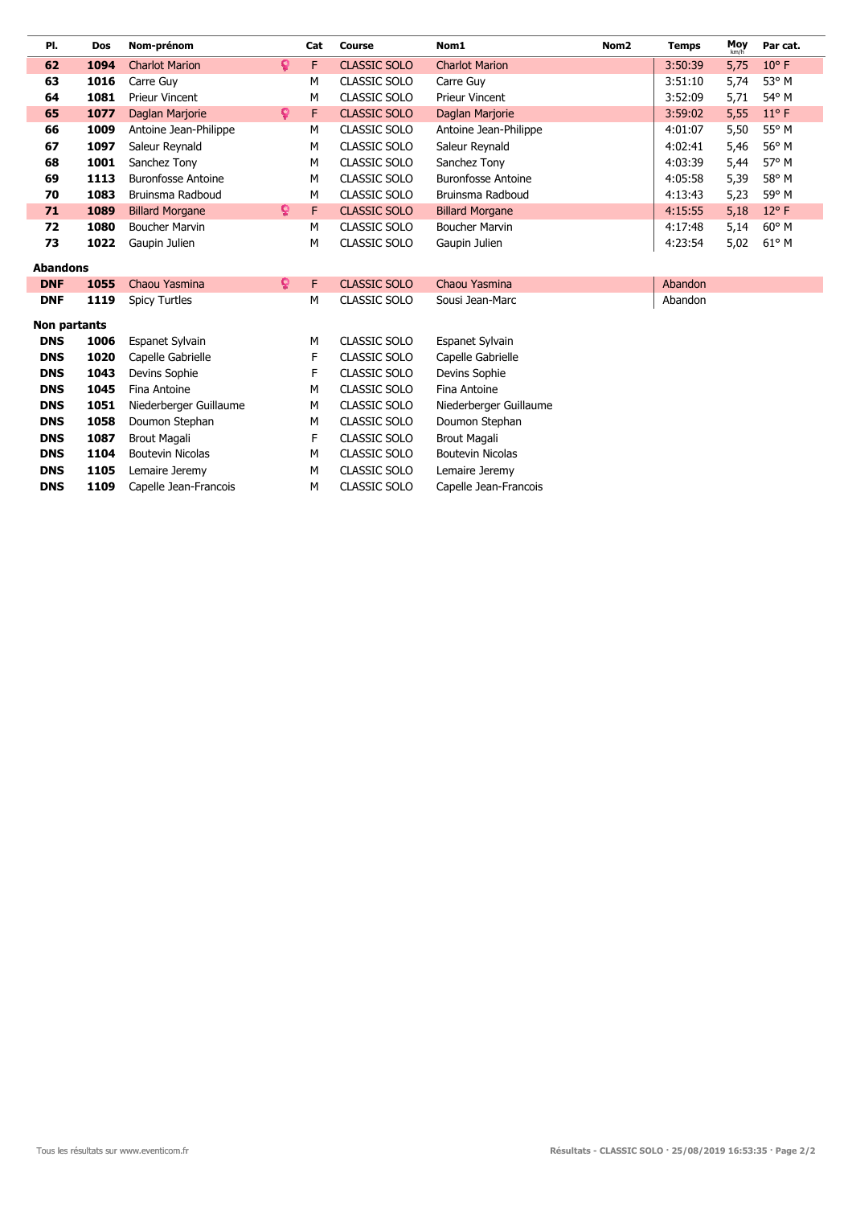| PI.             | Dos  | Nom-prénom                |    | Cat | <b>Course</b>       | Nom1                      | Nom <sub>2</sub> | <b>Temps</b> | Moy  | Par cat.       |
|-----------------|------|---------------------------|----|-----|---------------------|---------------------------|------------------|--------------|------|----------------|
| 62              | 1094 | <b>Charlot Marion</b>     | Q. | F   | <b>CLASSIC SOLO</b> | <b>Charlot Marion</b>     |                  | 3:50:39      | 5,75 | $10^{\circ}$ F |
| 63              | 1016 | Carre Guy                 |    | м   | <b>CLASSIC SOLO</b> | Carre Guy                 |                  | 3:51:10      | 5,74 | 53° M          |
| 64              | 1081 | <b>Prieur Vincent</b>     |    | м   | CLASSIC SOLO        | <b>Prieur Vincent</b>     |                  | 3:52:09      | 5,71 | 54° M          |
| 65              | 1077 | Daglan Marjorie           | Q. | F   | <b>CLASSIC SOLO</b> | Daglan Marjorie           |                  | 3:59:02      | 5,55 | $11^{\circ}$ F |
| 66              | 1009 | Antoine Jean-Philippe     |    | м   | <b>CLASSIC SOLO</b> | Antoine Jean-Philippe     |                  | 4:01:07      | 5,50 | 55° M          |
| 67              | 1097 | Saleur Reynald            |    | м   | CLASSIC SOLO        | Saleur Reynald            |                  | 4:02:41      | 5,46 | 56° M          |
| 68              | 1001 | Sanchez Tony              |    | м   | <b>CLASSIC SOLO</b> | Sanchez Tony              |                  | 4:03:39      | 5,44 | 57° M          |
| 69              | 1113 | <b>Buronfosse Antoine</b> |    | м   | <b>CLASSIC SOLO</b> | <b>Buronfosse Antoine</b> |                  | 4:05:58      | 5,39 | 58° M          |
| 70              | 1083 | Bruinsma Radboud          |    | м   | <b>CLASSIC SOLO</b> | Bruinsma Radboud          |                  | 4:13:43      | 5,23 | 59° M          |
| 71              | 1089 | <b>Billard Morgane</b>    | Q. | F   | <b>CLASSIC SOLO</b> | <b>Billard Morgane</b>    |                  | 4:15:55      | 5,18 | $12^{\circ}$ F |
| 72              | 1080 | <b>Boucher Marvin</b>     |    | м   | <b>CLASSIC SOLO</b> | <b>Boucher Marvin</b>     |                  | 4:17:48      | 5,14 | 60° M          |
| 73              | 1022 | Gaupin Julien             |    | м   | CLASSIC SOLO        | Gaupin Julien             |                  | 4:23:54      | 5,02 | 61° M          |
| <b>Abandons</b> |      |                           |    |     |                     |                           |                  |              |      |                |
| <b>DNF</b>      | 1055 | Chaou Yasmina             | Q. | F   | <b>CLASSIC SOLO</b> | Chaou Yasmina             |                  | Abandon      |      |                |
| <b>DNF</b>      | 1119 | <b>Spicy Turtles</b>      |    | м   | <b>CLASSIC SOLO</b> | Sousi Jean-Marc           |                  | Abandon      |      |                |
| Non partants    |      |                           |    |     |                     |                           |                  |              |      |                |
| <b>DNS</b>      | 1006 | <b>Espanet Sylvain</b>    |    | м   | <b>CLASSIC SOLO</b> | Espanet Sylvain           |                  |              |      |                |
| <b>DNS</b>      | 1020 | Capelle Gabrielle         |    | F   | <b>CLASSIC SOLO</b> | Capelle Gabrielle         |                  |              |      |                |
| <b>DNS</b>      | 1043 | Devins Sophie             |    | F   | <b>CLASSIC SOLO</b> | Devins Sophie             |                  |              |      |                |
| <b>DNS</b>      | 1045 | Fina Antoine              |    | м   | <b>CLASSIC SOLO</b> | Fina Antoine              |                  |              |      |                |
| <b>DNS</b>      | 1051 | Niederberger Guillaume    |    | м   | <b>CLASSIC SOLO</b> | Niederberger Guillaume    |                  |              |      |                |
| <b>DNS</b>      | 1058 | Doumon Stephan            |    | м   | <b>CLASSIC SOLO</b> | Doumon Stephan            |                  |              |      |                |
| <b>DNS</b>      | 1087 | <b>Brout Magali</b>       |    | F   | <b>CLASSIC SOLO</b> | <b>Brout Magali</b>       |                  |              |      |                |
| <b>DNS</b>      | 1104 | <b>Boutevin Nicolas</b>   |    | м   | <b>CLASSIC SOLO</b> | <b>Boutevin Nicolas</b>   |                  |              |      |                |
| <b>DNS</b>      | 1105 | Lemaire Jeremy            |    | м   | <b>CLASSIC SOLO</b> | Lemaire Jeremy            |                  |              |      |                |
| <b>DNS</b>      | 1109 | Capelle Jean-Francois     |    | м   | <b>CLASSIC SOLO</b> | Capelle Jean-Francois     |                  |              |      |                |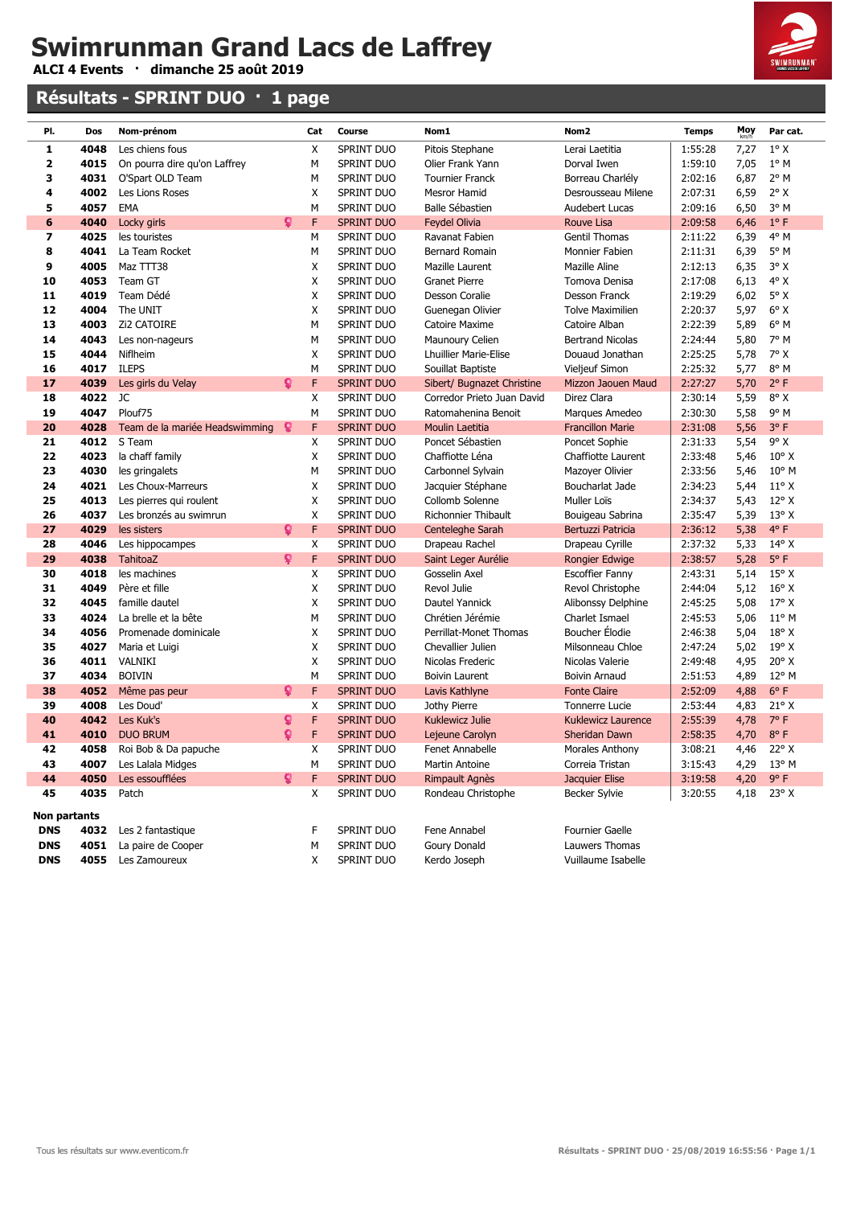**ALCI 4 Events · dimanche 25 août 2019**

### **Résultats - SPRINT DUO · 1 page**



| PI.                     | Dos          | Nom-prénom                     |    | Cat    | Course                          | Nom1                                           | Nom <sub>2</sub>                            | <b>Temps</b>       | Moy          | Par cat.              |
|-------------------------|--------------|--------------------------------|----|--------|---------------------------------|------------------------------------------------|---------------------------------------------|--------------------|--------------|-----------------------|
| 1                       | 4048         | Les chiens fous                |    | Χ      | SPRINT DUO                      | Pitois Stephane                                | Lerai Laetitia                              | 1:55:28            | 7,27         | $1^\circ$ X           |
| 2                       | 4015         | On pourra dire qu'on Laffrey   |    | М      | SPRINT DUO                      | Olier Frank Yann                               | Dorval Iwen                                 | 1:59:10            | 7,05         | $1^\circ$ M           |
| 3                       | 4031         | O'Spart OLD Team               |    | М      | <b>SPRINT DUO</b>               | <b>Tournier Franck</b>                         | Borreau Charlély                            | 2:02:16            | 6,87         | $2^{\circ}$ M         |
| 4                       | 4002         | Les Lions Roses                |    | X      | <b>SPRINT DUO</b>               | <b>Mesror Hamid</b>                            | Desrousseau Milene                          | 2:07:31            | 6,59         | $2^{\circ}$ X         |
| 5                       | 4057         | EMA                            |    | М      | <b>SPRINT DUO</b>               | Balle Sébastien                                | Audebert Lucas                              | 2:09:16            | 6,50         | 3° M                  |
| 6                       | 4040         | Locky girls                    | ö  | F      | <b>SPRINT DUO</b>               | <b>Feydel Olivia</b>                           | Rouve Lisa                                  | 2:09:58            | 6,46         | $1^{\circ}$ F         |
| $\overline{\mathbf{z}}$ | 4025         | les touristes                  |    | М      | SPRINT DUO                      | Ravanat Fabien                                 | Gentil Thomas                               | 2:11:22            | 6,39         | 4° M                  |
| 8                       | 4041         | La Team Rocket                 |    | М      | <b>SPRINT DUO</b>               | <b>Bernard Romain</b>                          | Monnier Fabien                              | 2:11:31            | 6,39         | $5^{\circ}$ M         |
| 9                       | 4005         | Maz TTT38                      |    | Χ      | <b>SPRINT DUO</b>               | Mazille Laurent                                | Mazille Aline                               | 2:12:13            | 6,35         | $3^\circ X$           |
| 10                      | 4053         | Team GT                        |    | X      | <b>SPRINT DUO</b>               | <b>Granet Pierre</b>                           | Tomova Denisa                               | 2:17:08            | 6,13         | $4^\circ$ X           |
| 11                      | 4019         | Team Dédé                      |    | X      | SPRINT DUO                      | Desson Coralie                                 | Desson Franck                               | 2:19:29            | 6,02         | $5^\circ$ X           |
| 12                      | 4004         | The UNIT                       |    | X      | SPRINT DUO                      | Guenegan Olivier                               | <b>Tolve Maximilien</b>                     | 2:20:37            | 5,97         | $6^{\circ}$ X         |
| 13                      | 4003         | <b>Zi2 CATOIRE</b>             |    | М      | <b>SPRINT DUO</b>               | Catoire Maxime                                 | Catoire Alban                               | 2:22:39            | 5,89         | $6^{\circ}$ M         |
| 14                      | 4043         | Les non-nageurs                |    | М      | SPRINT DUO                      | Maunoury Celien                                | <b>Bertrand Nicolas</b>                     | 2:24:44            | 5,80         | 7° M                  |
| 15                      | 4044         | Niflheim                       |    | Χ      | SPRINT DUO                      | <b>Lhuillier Marie-Elise</b>                   | Douaud Jonathan                             | 2:25:25            | 5,78         | $7^\circ$ X           |
| 16                      | 4017         | <b>ILEPS</b>                   |    | М      | <b>SPRINT DUO</b>               | Souillat Baptiste                              | Vieljeuf Simon                              | 2:25:32            | 5,77         | 8° M                  |
| 17                      | 4039         | Les girls du Velay             | Q  | F      | <b>SPRINT DUO</b>               | Sibert/ Bugnazet Christine                     | Mizzon Jaouen Maud                          | 2:27:27            | 5,70         | $2^{\circ}$ F         |
| 18                      | 4022         | JC                             |    | Χ      | SPRINT DUO                      | Corredor Prieto Juan David                     | Direz Clara                                 | 2:30:14            | 5,59         | $8^{\circ}$ X         |
| 19                      | 4047         | Plouf75                        |    | M      | SPRINT DUO                      | Ratomahenina Benoit                            | Marques Amedeo                              | 2:30:30            | 5,58         | 9° M                  |
| 20                      | 4028         | Team de la mariée Headswimming | Q  | F      | <b>SPRINT DUO</b>               | Moulin Laetitia                                | <b>Francillon Marie</b>                     | 2:31:08            | 5,56         | 3°F                   |
| 21                      | 4012         | S Team                         |    | Χ      | <b>SPRINT DUO</b>               | Poncet Sébastien                               | Poncet Sophie                               | 2:31:33            | 5,54         | $9^{\circ}$ X         |
| 22                      | 4023         | la chaff family                |    | X      | SPRINT DUO                      | Chaffiotte Léna                                | Chaffiotte Laurent                          | 2:33:48            | 5,46         | $10^{\circ}$ X        |
| 23                      | 4030         | les gringalets                 |    | М      | SPRINT DUO                      | Carbonnel Sylvain                              | Mazoyer Olivier                             | 2:33:56            | 5,46         | $10^{\circ}$ M        |
| 24                      | 4021         | Les Choux-Marreurs             |    | X      | SPRINT DUO                      | Jacquier Stéphane                              | Boucharlat Jade                             | 2:34:23            | 5,44         | $11^{\circ}$ X        |
| 25                      | 4013         | Les pierres qui roulent        |    | X      | SPRINT DUO                      | Collomb Solenne                                | Muller Loïs                                 | 2:34:37            | 5,43         | $12^{\circ}$ X        |
| 26                      | 4037         | Les bronzés au swimrun         |    | X      | SPRINT DUO                      | <b>Richonnier Thibault</b><br>Bouigeau Sabrina |                                             | 2:35:47            | 5,39         | $13^{\circ}$ X        |
| 27                      | 4029         | les sisters                    | Q  | F      | <b>SPRINT DUO</b>               | Centeleghe Sarah                               | Bertuzzi Patricia                           | 2:36:12            | 5,38         | $4^{\circ}$ F         |
| 28                      | 4046         | Les hippocampes                |    | X      | SPRINT DUO                      | Drapeau Rachel                                 | Drapeau Cyrille                             | 2:37:32            | 5,33         | $14^{\circ}$ X        |
| 29                      | 4038         | <b>TahitoaZ</b>                | Q  | F      | <b>SPRINT DUO</b>               | Saint Leger Aurélie                            | Rongier Edwige                              | 2:38:57            | 5,28         | $5^{\circ}$ F         |
| 30                      | 4018         | les machines                   |    | Χ      | SPRINT DUO                      | Gosselin Axel                                  | <b>Escoffier Fanny</b>                      | 2:43:31            | 5,14         | $15^{\circ}$ X        |
| 31                      | 4049         | Père et fille                  |    | X      | SPRINT DUO                      | Revol Julie                                    | Revol Christophe                            | 2:44:04            | 5,12         | $16^{\circ}$ X        |
| 32                      | 4045         | famille dautel                 |    | X      | SPRINT DUO                      | Dautel Yannick                                 | Alibonssy Delphine                          | 2:45:25            | 5,08         | $17^{\circ}$ X        |
| 33                      | 4024         | La brelle et la bête           |    | М      | <b>SPRINT DUO</b>               | Chrétien Jérémie                               | Charlet Ismael                              | 2:45:53            | 5,06         | $11^{\circ}$ M        |
| 34                      | 4056         | Promenade dominicale           |    | X      | SPRINT DUO                      | Perrillat-Monet Thomas                         | Boucher Elodie                              | 2:46:38            | 5,04         | $18^{\circ}$ X        |
| 35                      | 4027         | Maria et Luigi                 |    | Χ      | SPRINT DUO                      | Chevallier Julien                              | Milsonneau Chloe                            | 2:47:24            | 5,02         | $19^{\circ}$ X        |
| 36                      | 4011         | VALNIKI                        |    | Χ      | SPRINT DUO                      | Nicolas Frederic                               | Nicolas Valerie                             | 2:49:48            | 4,95         | $20^{\circ}$ X        |
| 37                      | 4034         | <b>BOIVIN</b>                  |    | M      | <b>SPRINT DUO</b>               | <b>Boivin Laurent</b>                          | <b>Boivin Arnaud</b>                        | 2:51:53            | 4,89         | $12^{\circ}$ M        |
| 38                      | 4052         | Même pas peur                  | Q  | F      | <b>SPRINT DUO</b>               | Lavis Kathlyne                                 | <b>Fonte Claire</b>                         | 2:52:09            | 4,88         | $6^{\circ}$ F         |
| 39<br>40                | 4008<br>4042 | Les Doud'<br>Les Kuk's         | Q  | X<br>F | SPRINT DUO<br><b>SPRINT DUO</b> | Jothy Pierre<br><b>Kuklewicz Julie</b>         | <b>Tonnerre Lucie</b><br>Kuklewicz Laurence | 2:53:44<br>2:55:39 | 4,83<br>4,78 | $21^{\circ}$ X<br>7°F |
| 41                      | 4010         | <b>DUO BRUM</b>                | ò  | F      | <b>SPRINT DUO</b>               | Lejeune Carolyn                                | Sheridan Dawn                               | 2:58:35            | 4,70         | 8° F                  |
| 42                      | 4058         | Roi Bob & Da papuche           |    | X      | <b>SPRINT DUO</b>               | <b>Fenet Annabelle</b>                         | Morales Anthony                             | 3:08:21            | 4,46         | $22^{\circ}$ X        |
| 43                      | 4007         | Les Lalala Midges              |    | М      | SPRINT DUO                      | Martin Antoine                                 | Correia Tristan                             | 3:15:43            | 4,29         | $13^{\circ}$ M        |
| 44                      | 4050         | Les essoufflées                | Q. | F      | SPRINT DUO                      | <b>Rimpault Agnès</b>                          | Jacquier Elise                              | 3:19:58            | 4,20         | $9^{\circ}$ F         |
| 45                      | 4035         | Patch                          |    | X      | SPRINT DUO                      | Rondeau Christophe                             | Becker Sylvie                               | 3:20:55            | 4,18         | $23^{\circ}$ X        |
|                         |              |                                |    |        |                                 |                                                |                                             |                    |              |                       |
| Non partants            |              |                                |    |        |                                 |                                                |                                             |                    |              |                       |
| <b>DNS</b>              | 4032         | Les 2 fantastique              |    | F      | SPRINT DUO                      | Fene Annabel                                   | Fournier Gaelle                             |                    |              |                       |
| <b>DNS</b>              | 4051         | La paire de Cooper             |    | М      | SPRINT DUO                      | Goury Donald                                   | Lauwers Thomas                              |                    |              |                       |
| <b>DNS</b>              | 4055         | Les Zamoureux                  |    | X      | SPRINT DUO                      | Kerdo Joseph                                   | Vuillaume Isabelle                          |                    |              |                       |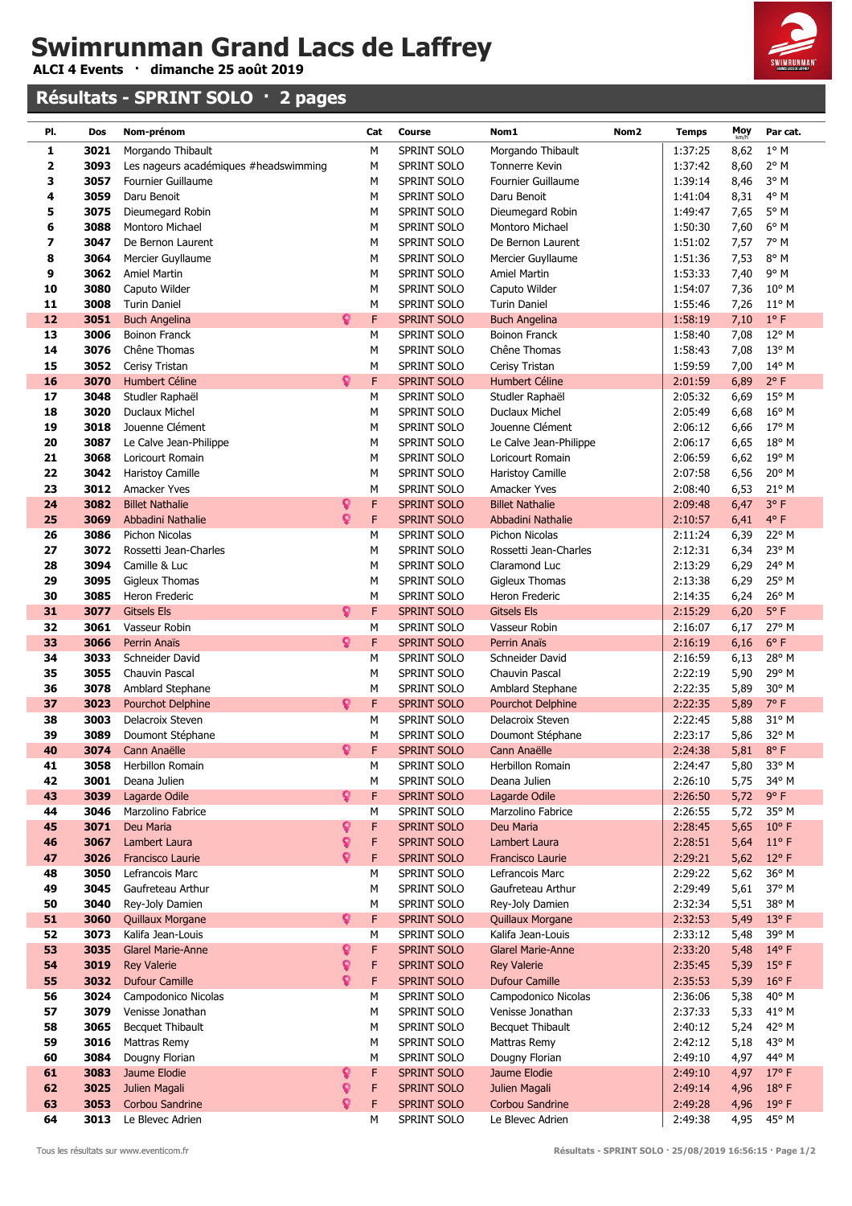**ALCI 4 Events · dimanche 25 août 2019**

### **Résultats - SPRINT SOLO · 2 pages**



| PI.         | Dos          | Nom-prénom                            |    | Cat    | Course                     | Nom1<br>Nom <sub>2</sub>             | <b>Temps</b>       | Moy          | Par cat.               |
|-------------|--------------|---------------------------------------|----|--------|----------------------------|--------------------------------------|--------------------|--------------|------------------------|
| 1           | 3021         | Morgando Thibault                     |    | М      | SPRINT SOLO                | Morgando Thibault                    | 1:37:25            | 8,62         | $1^{\circ}$ M          |
| $\mathbf 2$ | 3093         | Les nageurs académiques #headswimming |    | M      | SPRINT SOLO                | <b>Tonnerre Kevin</b>                | 1:37:42            | 8,60         | 2° M                   |
| 3           | 3057         | <b>Fournier Guillaume</b>             |    | М      | SPRINT SOLO                | <b>Fournier Guillaume</b>            | 1:39:14            | 8,46         | 3° M                   |
| 4           | 3059         | Daru Benoit                           |    | M      | SPRINT SOLO                | Daru Benoit                          | 1:41:04            | 8,31         | 4° M                   |
| 5           | 3075         | Dieumegard Robin                      |    | М      | SPRINT SOLO                | Dieumegard Robin                     | 1:49:47            | 7,65         | $5^\circ$ M            |
| 6           | 3088         | Montoro Michael                       |    | M      | SPRINT SOLO                | Montoro Michael                      | 1:50:30            | 7,60         | 6° M                   |
| 7           | 3047         | De Bernon Laurent                     |    | M      | SPRINT SOLO                | De Bernon Laurent                    | 1:51:02            | 7,57         | 7° M                   |
| 8           | 3064         | Mercier Guyllaume                     |    | М      | <b>SPRINT SOLO</b>         | Mercier Guyllaume                    | 1:51:36            | 7,53         | 8° M                   |
| 9           | 3062         | <b>Amiel Martin</b>                   |    | М      | SPRINT SOLO                | <b>Amiel Martin</b>                  | 1:53:33            | 7,40         | $9^{\circ}$ M          |
| 10          | 3080         | Caputo Wilder                         |    | M      | SPRINT SOLO                | Caputo Wilder                        | 1:54:07            | 7,36         | $10^{\circ}$ M         |
| 11          | 3008         | <b>Turin Daniel</b>                   |    | M      | SPRINT SOLO                | <b>Turin Daniel</b>                  | 1:55:46            | 7,26         | $11^{\circ}$ M         |
| 12          | 3051         | <b>Buch Angelina</b>                  | ဝူ | F      | <b>SPRINT SOLO</b>         | <b>Buch Angelina</b>                 | 1:58:19            | 7,10         | $1^{\circ}$ F          |
| 13          | 3006         | <b>Boinon Franck</b>                  |    | М      | SPRINT SOLO                | <b>Boinon Franck</b>                 | 1:58:40            | 7,08         | 12° M                  |
| 14          | 3076         | Chêne Thomas                          |    | М      | SPRINT SOLO                | Chêne Thomas                         | 1:58:43            | 7,08         | $13^{\circ}$ M         |
| 15          | 3052         | Cerisy Tristan                        |    | М      | SPRINT SOLO                | Cerisy Tristan                       | 1:59:59            | 7,00         | $14^{\circ}$ M         |
| 16          | 3070         | <b>Humbert Céline</b>                 | Ω  | F      | <b>SPRINT SOLO</b>         | Humbert Céline                       | 2:01:59            | 6,89         | $2^{\circ}$ F          |
| 17          | 3048         | Studler Raphaël                       |    | М      | SPRINT SOLO                | Studler Raphaël                      | 2:05:32            | 6,69         | 15° M                  |
| 18          | 3020         | <b>Duclaux Michel</b>                 |    | M      | SPRINT SOLO                | Duclaux Michel                       | 2:05:49            | 6,68         | 16° M                  |
| 19          | 3018         | Jouenne Clément                       |    | M      | SPRINT SOLO                | Jouenne Clément                      | 2:06:12            | 6,66         | 17° M                  |
| 20          | 3087         | Le Calve Jean-Philippe                |    | M      | SPRINT SOLO                | Le Calve Jean-Philippe               | 2:06:17            | 6,65         | 18° M<br>19° M         |
| 21<br>22    | 3068<br>3042 | Loricourt Romain<br>Haristoy Camille  |    | M<br>М | SPRINT SOLO<br>SPRINT SOLO | Loricourt Romain<br>Haristoy Camille | 2:06:59<br>2:07:58 | 6,62<br>6,56 | 20° M                  |
| 23          | 3012         | Amacker Yves                          |    | M      | SPRINT SOLO                | Amacker Yves                         | 2:08:40            | 6,53         | 21° M                  |
| 24          | 3082         | <b>Billet Nathalie</b>                | ¥  | F      | <b>SPRINT SOLO</b>         | <b>Billet Nathalie</b>               | 2:09:48            | 6,47         | 3°F                    |
| 25          | 3069         | Abbadini Nathalie                     | Q  | F      | <b>SPRINT SOLO</b>         | Abbadini Nathalie                    | 2:10:57            | 6,41         | $4^{\circ}$ F          |
| 26          | 3086         | Pichon Nicolas                        |    | M      | SPRINT SOLO                | Pichon Nicolas                       | 2:11:24            | 6,39         | 22° M                  |
| 27          | 3072         | Rossetti Jean-Charles                 |    | М      | SPRINT SOLO                | Rossetti Jean-Charles                | 2:12:31            | 6,34         | 23° M                  |
| 28          | 3094         | Camille & Luc                         |    | M      | SPRINT SOLO                | Claramond Luc                        | 2:13:29            | 6,29         | 24° M                  |
| 29          | 3095         | <b>Gigleux Thomas</b>                 |    | М      | SPRINT SOLO                | <b>Gigleux Thomas</b>                | 2:13:38            | 6,29         | 25° M                  |
| 30          | 3085         | Heron Frederic                        |    | М      | SPRINT SOLO                | Heron Frederic                       | 2:14:35            | 6,24         | 26° M                  |
| 31          | 3077         | <b>Gitsels Els</b>                    | Q  | F      | <b>SPRINT SOLO</b>         | <b>Gitsels Els</b>                   | 2:15:29            | 6,20         | $5^{\circ}$ F          |
| 32          | 3061         | Vasseur Robin                         |    | М      | SPRINT SOLO                | Vasseur Robin                        | 2:16:07            | 6,17         | 27° M                  |
| 33          | 3066         | Perrin Anaïs                          | Q. | F      | <b>SPRINT SOLO</b>         | Perrin Anaïs                         | 2:16:19            | 6,16         | $6^{\circ}$ F          |
| 34          | 3033         | Schneider David                       |    | М      | SPRINT SOLO                | Schneider David                      | 2:16:59            | 6,13         | 28° M                  |
| 35          | 3055         | Chauvin Pascal                        |    | M      | SPRINT SOLO                | Chauvin Pascal                       | 2:22:19            | 5,90         | 29° M                  |
| 36          | 3078         | Amblard Stephane                      |    | М      | SPRINT SOLO                | Amblard Stephane                     | 2:22:35            | 5,89         | 30° M                  |
| 37          | 3023         | <b>Pourchot Delphine</b>              | ្  | F      | SPRINT SOLO                | <b>Pourchot Delphine</b>             | 2:22:35            | 5,89         | 7°F                    |
| 38          | 3003         | Delacroix Steven                      |    | M      | SPRINT SOLO                | Delacroix Steven                     | 2:22:45            | 5,88         | 31° M                  |
| 39          | 3089         | Doumont Stéphane                      |    | М      | SPRINT SOLO                | Doumont Stéphane                     | 2:23:17            | 5,86         | 32° M                  |
| 40          | 3074         | <b>Cann Anaëlle</b>                   | Q  | F      | <b>SPRINT SOLO</b>         | Cann Anaëlle                         | 2:24:38            | 5,81         | $8^{\circ}$ F          |
| 41          | 3058         | Herbillon Romain<br>Deana Julien      |    | М      | SPRINT SOLO<br>SPRINT SOLO | Herbillon Romain                     | 2:24:47            | 5,80         | 33° M                  |
| 42<br>43    | 3001<br>3039 |                                       | Q. | М<br>F | <b>SPRINT SOLO</b>         | Deana Julien<br>Lagarde Odile        | 2:26:10<br>2:26:50 | 5,75         | 34° M<br>$9^{\circ}$ F |
| 44          | 3046         | Lagarde Odile<br>Marzolino Fabrice    |    | М      | SPRINT SOLO                | Marzolino Fabrice                    | 2:26:55            | 5,72<br>5,72 | 35° M                  |
| 45          | 3071         | Deu Maria                             | Ŷ  | F      | <b>SPRINT SOLO</b>         | Deu Maria                            | 2:28:45            | 5,65         | $10^{\circ}$ F         |
| 46          | 3067         | Lambert Laura                         | Q  | F      | <b>SPRINT SOLO</b>         | Lambert Laura                        | 2:28:51            | 5,64         | $11^{\circ}$ F         |
| 47          | 3026         | Francisco Laurie                      | Q  | F      | <b>SPRINT SOLO</b>         | Francisco Laurie                     | 2:29:21            | 5,62         | $12^{\circ}$ F         |
| 48          | 3050         | Lefrancois Marc                       |    | М      | SPRINT SOLO                | Lefrancois Marc                      | 2:29:22            | 5,62         | 36° M                  |
| 49          | 3045         | Gaufreteau Arthur                     |    | М      | SPRINT SOLO                | Gaufreteau Arthur                    | 2:29:49            | 5,61         | 37° M                  |
| 50          | 3040         | Rey-Joly Damien                       |    | M      | SPRINT SOLO                | Rey-Joly Damien                      | 2:32:34            | 5,51         | 38° M                  |
| 51          | 3060         | <b>Quillaux Morgane</b>               | Q  | F      | <b>SPRINT SOLO</b>         | <b>Quillaux Morgane</b>              | 2:32:53            | 5,49         | 13°F                   |
| 52          | 3073         | Kalifa Jean-Louis                     |    | M      | SPRINT SOLO                | Kalifa Jean-Louis                    | 2:33:12            | 5,48         | 39° M                  |
| 53          | 3035         | <b>Glarel Marie-Anne</b>              | Ŷ  | F      | <b>SPRINT SOLO</b>         | <b>Glarel Marie-Anne</b>             | 2:33:20            | 5,48         | 14°F                   |
| 54          | 3019         | <b>Rey Valerie</b>                    | ្  | F      | <b>SPRINT SOLO</b>         | <b>Rey Valerie</b>                   | 2:35:45            | 5,39         | $15°$ F                |
| 55          | 3032         | <b>Dufour Camille</b>                 | Q  | F      | <b>SPRINT SOLO</b>         | <b>Dufour Camille</b>                | 2:35:53            | 5,39         | $16°$ F                |
| 56          | 3024         | Campodonico Nicolas                   |    | М      | SPRINT SOLO                | Campodonico Nicolas                  | 2:36:06            | 5,38         | 40° M                  |
| 57          | 3079         | Venisse Jonathan                      |    | М      | SPRINT SOLO                | Venisse Jonathan                     | 2:37:33            | 5,33         | $41^{\circ}$ M         |
| 58          | 3065         | Becquet Thibault                      |    | М      | SPRINT SOLO                | <b>Becquet Thibault</b>              | 2:40:12            | 5,24         | 42° M                  |
| 59          | 3016         | Mattras Remy                          |    | M      | SPRINT SOLO                | Mattras Remy                         | 2:42:12            | 5,18         | 43° M                  |
| 60          | 3084         | Dougny Florian                        |    | М      | SPRINT SOLO                | Dougny Florian                       | 2:49:10            | 4,97         | 44° M                  |
| 61          | 3083         | Jaume Elodie                          | Ŷ  | F      | <b>SPRINT SOLO</b>         | Jaume Elodie                         | 2:49:10            | 4,97         | 17°F                   |
| 62          | 3025         | Julien Magali                         | Q  | F      | SPRINT SOLO                | Julien Magali                        | 2:49:14            | 4,96         | $18^{\circ}$ F         |
| 63          | 3053         | Corbou Sandrine                       | ¥  | F      | <b>SPRINT SOLO</b>         | Corbou Sandrine                      | 2:49:28            | 4,96         | 19°F                   |
| 64          | 3013         | Le Blevec Adrien                      |    | M      | SPRINT SOLO                | Le Blevec Adrien                     | 2:49:38            | 4,95         | 45° M                  |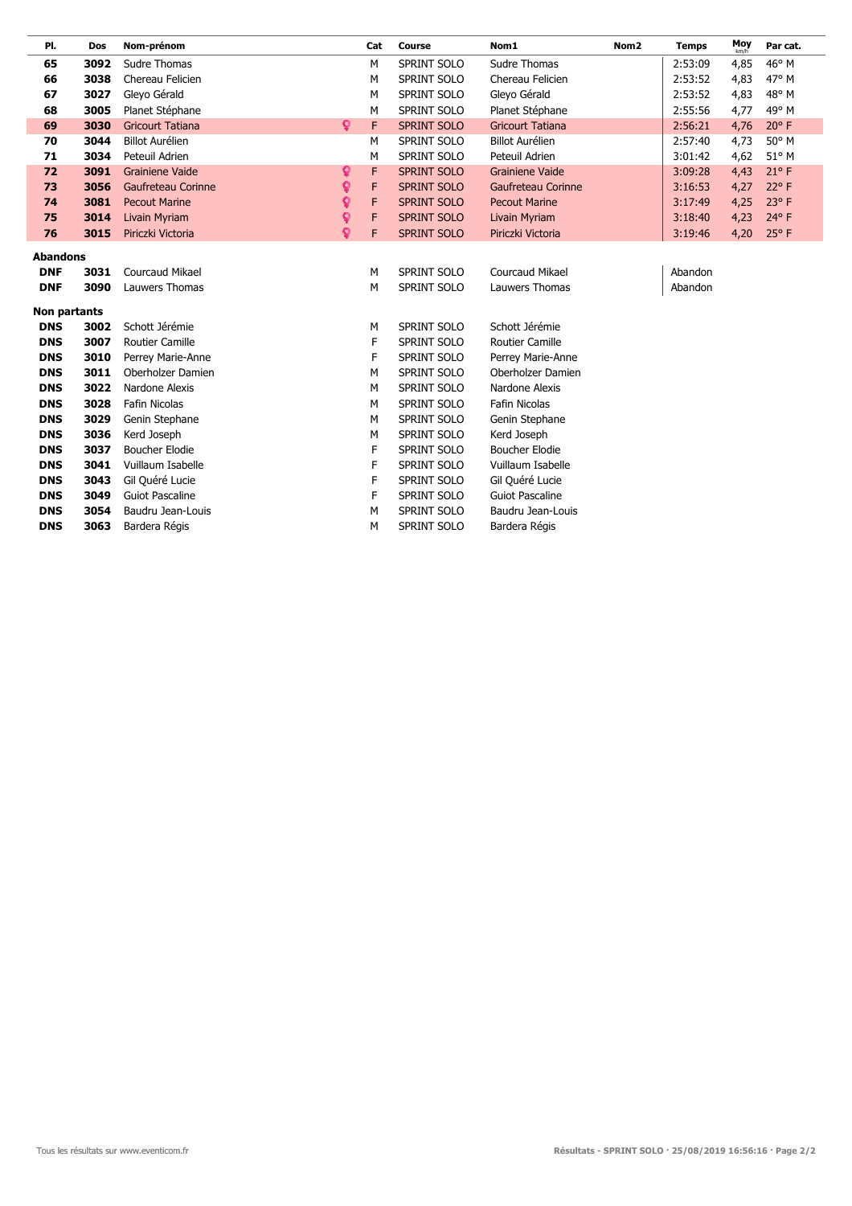| PI.                      | Dos          | Nom-prénom              |    | Cat    | <b>Course</b>      | Nom1                      | Nom <sub>2</sub> | <b>Temps</b> | Moy  | Par cat.       |
|--------------------------|--------------|-------------------------|----|--------|--------------------|---------------------------|------------------|--------------|------|----------------|
| 65                       | 3092         | Sudre Thomas            |    | M      | <b>SPRINT SOLO</b> | <b>Sudre Thomas</b>       |                  | 2:53:09      | 4,85 | 46° M          |
| 66                       | 3038         | Chereau Felicien        |    | М      | <b>SPRINT SOLO</b> | Chereau Felicien          |                  | 2:53:52      | 4,83 | 47° M          |
| 67                       | 3027         | Gleyo Gérald            |    | М      | SPRINT SOLO        | Gleyo Gérald              |                  | 2:53:52      | 4,83 | 48° M          |
| 68                       | 3005         | Planet Stéphane         |    | M      | SPRINT SOLO        | Planet Stéphane           |                  | 2:55:56      | 4,77 | 49° M          |
| 69                       | 3030         | <b>Gricourt Tatiana</b> | Q. | F      | <b>SPRINT SOLO</b> | <b>Gricourt Tatiana</b>   |                  | 2:56:21      | 4,76 | $20^{\circ}$ F |
| 70                       | 3044         | <b>Billot Aurélien</b>  |    | M      | SPRINT SOLO        | <b>Billot Aurélien</b>    |                  | 2:57:40      | 4,73 | 50° M          |
| 71                       | 3034         | Peteuil Adrien          |    | М      | SPRINT SOLO        | Peteuil Adrien            |                  | 3:01:42      | 4,62 | 51° M          |
| 72                       | 3091         | <b>Grainiene Vaide</b>  | Ŷ  | F      | <b>SPRINT SOLO</b> | <b>Grainiene Vaide</b>    |                  | 3:09:28      | 4,43 | $21^{\circ}$ F |
| 73                       | 3056         | Gaufreteau Corinne      | ò  | F      | <b>SPRINT SOLO</b> | <b>Gaufreteau Corinne</b> |                  | 3:16:53      | 4,27 | $22^{\circ}$ F |
| 74                       | 3081         | <b>Pecout Marine</b>    | Q  | F      | <b>SPRINT SOLO</b> | <b>Pecout Marine</b>      |                  | 3:17:49      | 4,25 | 23° F          |
| 75                       | 3014         | Livain Myriam           | ò  | F      | <b>SPRINT SOLO</b> | <b>Livain Myriam</b>      |                  | 3:18:40      | 4,23 | $24^{\circ}$ F |
| 76                       | 3015         | Piriczki Victoria       | ò  | F      | <b>SPRINT SOLO</b> | Piriczki Victoria         |                  | 3:19:46      | 4,20 | 25° F          |
| <b>Abandons</b>          |              |                         |    |        |                    |                           |                  |              |      |                |
| <b>DNF</b>               | 3031         | <b>Courcaud Mikael</b>  |    | M      | <b>SPRINT SOLO</b> | <b>Courcaud Mikael</b>    |                  | Abandon      |      |                |
| <b>DNF</b>               | 3090         | <b>Lauwers Thomas</b>   |    | M      | <b>SPRINT SOLO</b> | Lauwers Thomas            |                  | Abandon      |      |                |
|                          |              |                         |    |        |                    |                           |                  |              |      |                |
| Non partants             |              | Schott Jérémie          |    |        | SPRINT SOLO        | Schott Jérémie            |                  |              |      |                |
| <b>DNS</b><br><b>DNS</b> | 3002<br>3007 | <b>Routier Camille</b>  |    | М<br>F | SPRINT SOLO        | <b>Routier Camille</b>    |                  |              |      |                |
| <b>DNS</b>               | 3010         | Perrey Marie-Anne       |    | F      | SPRINT SOLO        | Perrey Marie-Anne         |                  |              |      |                |
| <b>DNS</b>               | 3011         | Oberholzer Damien       |    | М      | SPRINT SOLO        | Oberholzer Damien         |                  |              |      |                |
| <b>DNS</b>               | 3022         | Nardone Alexis          |    | М      | SPRINT SOLO        | Nardone Alexis            |                  |              |      |                |
| <b>DNS</b>               | 3028         | Fafin Nicolas           |    | М      | SPRINT SOLO        | <b>Fafin Nicolas</b>      |                  |              |      |                |
| <b>DNS</b>               | 3029         | Genin Stephane          |    | М      | SPRINT SOLO        | Genin Stephane            |                  |              |      |                |
| <b>DNS</b>               | 3036         | Kerd Joseph             |    | M      | SPRINT SOLO        | Kerd Joseph               |                  |              |      |                |
| <b>DNS</b>               | 3037         | <b>Boucher Elodie</b>   |    | F      | SPRINT SOLO        | <b>Boucher Elodie</b>     |                  |              |      |                |
| <b>DNS</b>               | 3041         | Vuillaum Isabelle       |    | F      | SPRINT SOLO        | Vuillaum Isabelle         |                  |              |      |                |
| <b>DNS</b>               | 3043         | Gil Quéré Lucie         |    | F      | SPRINT SOLO        | Gil Quéré Lucie           |                  |              |      |                |
| <b>DNS</b>               | 3049         | <b>Guiot Pascaline</b>  |    | F      | SPRINT SOLO        | <b>Guiot Pascaline</b>    |                  |              |      |                |
| <b>DNS</b>               | 3054         | Baudru Jean-Louis       |    | М      | SPRINT SOLO        | Baudru Jean-Louis         |                  |              |      |                |
| <b>DNS</b>               | 3063         | Bardera Régis           |    | М      | SPRINT SOLO        | Bardera Régis             |                  |              |      |                |
|                          |              |                         |    |        |                    |                           |                  |              |      |                |